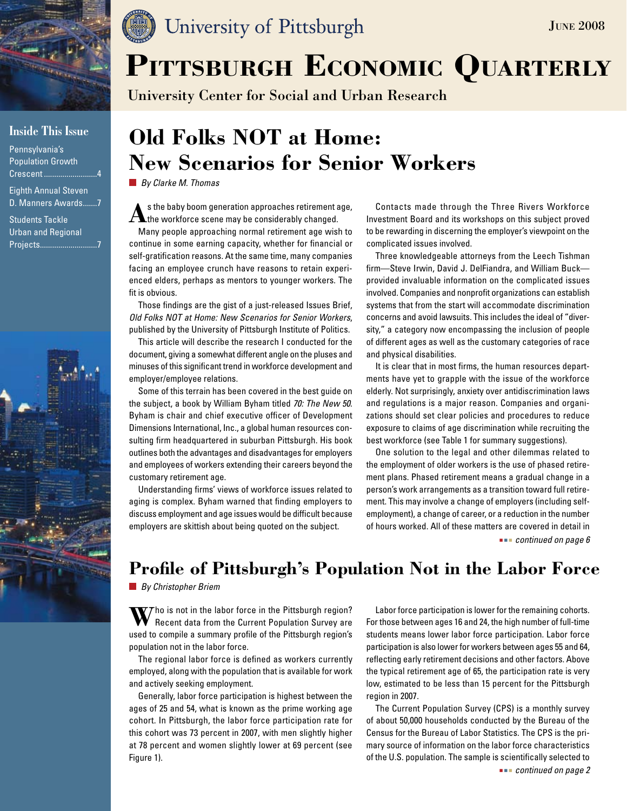

### **Inside This Issue**

Pennsylvania's Population Growth Crescent ........................

Eighth Annual Steven D. Manners Awards.......7

Students Tackle Urban and Regional Projects............................7



# University of Pittsburgh

University Center for Social and Urban Research

# **Old Folks NOT at Home: New Scenarios for Senior Workers**

*By Clarke M. Thomas*

As the baby boom generation approaches retirement age,<br>the workforce scene may be considerably changed.

Many people approaching normal retirement age wish to continue in some earning capacity, whether for financial or self-gratification reasons. At the same time, many companies facing an employee crunch have reasons to retain experienced elders, perhaps as mentors to younger workers. The fit is obvious.

Those findings are the gist of a just-released Issues Brief, *Old Folks NOT at Home: New Scenarios for Senior Workers*, published by the University of Pittsburgh Institute of Politics.

This article will describe the research I conducted for the document, giving a somewhat different angle on the pluses and minuses of this significant trend in workforce development and employer/employee relations.

Some of this terrain has been covered in the best guide on the subject, a book by William Byham titled *70: The New 50*. Byham is chair and chief executive officer of Development Dimensions International, Inc., a global human resources consulting firm headquartered in suburban Pittsburgh. His book outlines both the advantages and disadvantages for employers and employees of workers extending their careers beyond the customary retirement age.

Understanding firms' views of workforce issues related to aging is complex. Byham warned that finding employers to discuss employment and age issues would be difficult because employers are skittish about being quoted on the subject.

Contacts made through the Three Rivers Workforce Investment Board and its workshops on this subject proved to be rewarding in discerning the employer's viewpoint on the complicated issues involved.

**JUNE 2008** 

Three knowledgeable attorneys from the Leech Tishman firm—Steve Irwin, David J. DelFiandra, and William Buck provided invaluable information on the complicated issues involved. Companies and nonprofit organizations can establish systems that from the start will accommodate discrimination concerns and avoid lawsuits. This includes the ideal of "diversity," a category now encompassing the inclusion of people of different ages as well as the customary categories of race and physical disabilities.

It is clear that in most firms, the human resources departments have yet to grapple with the issue of the workforce elderly. Not surprisingly, anxiety over antidiscrimination laws and regulations is a major reason. Companies and organizations should set clear policies and procedures to reduce exposure to claims of age discrimination while recruiting the best workforce (see Table 1 for summary suggestions).

One solution to the legal and other dilemmas related to the employment of older workers is the use of phased retirement plans. Phased retirement means a gradual change in a person's work arrangements as a transition toward full retirement. This may involve a change of employers (including selfemployment), a change of career, or a reduction in the number of hours worked. All of these matters are covered in detail in  *continued on page 6*

## **Profile of Pittsburgh's Population Not in the Labor Force**

*By Christopher Briem*

**W**ho is not in the labor force in the Pittsburgh region? Recent data from the Current Population Survey are used to compile a summary profile of the Pittsburgh region's population not in the labor force.

The regional labor force is defined as workers currently employed, along with the population that is available for work and actively seeking employment.

Generally, labor force participation is highest between the ages of 25 and 54, what is known as the prime working age cohort. In Pittsburgh, the labor force participation rate for this cohort was 73 percent in 2007, with men slightly higher at 78 percent and women slightly lower at 69 percent (see Figure 1).

Labor force participation is lower for the remaining cohorts. For those between ages 16 and 24, the high number of full-time students means lower labor force participation. Labor force participation is also lower for workers between ages 55 and 64, reflecting early retirement decisions and other factors. Above the typical retirement age of 65, the participation rate is very low, estimated to be less than 15 percent for the Pittsburgh region in 2007.

The Current Population Survey (CPS) is a monthly survey of about 50,000 households conducted by the Bureau of the Census for the Bureau of Labor Statistics. The CPS is the primary source of information on the labor force characteristics of the U.S. population. The sample is scientifically selected to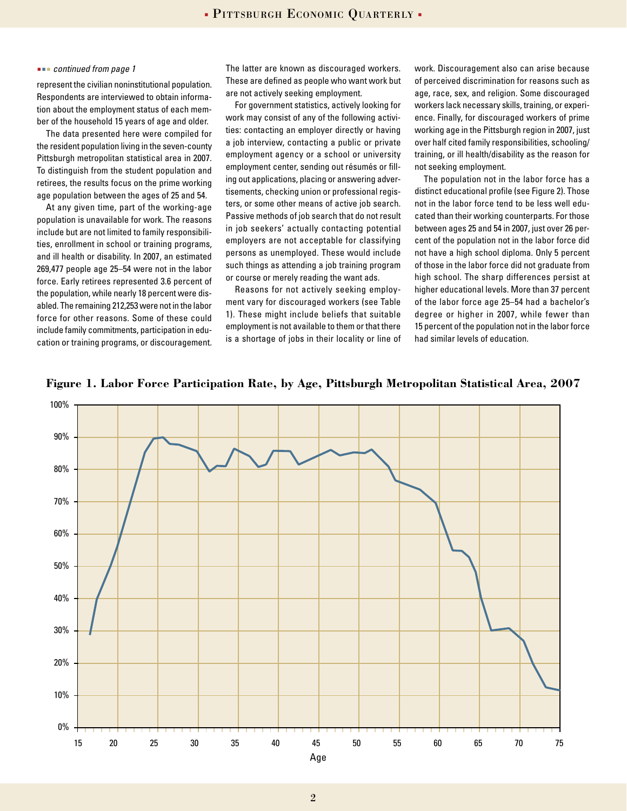#### *continued from page 1*

represent the civilian noninstitutional population. Respondents are interviewed to obtain information about the employment status of each member of the household 15 years of age and older.

The data presented here were compiled for the resident population living in the seven-county Pittsburgh metropolitan statistical area in 2007. To distinguish from the student population and retirees, the results focus on the prime working age population between the ages of 25 and 54.

At any given time, part of the working-age population is unavailable for work. The reasons include but are not limited to family responsibilities, enrollment in school or training programs, and ill health or disability. In 2007, an estimated 269,477 people age 25–54 were not in the labor force. Early retirees represented 3.6 percent of the population, while nearly 18 percent were disabled. The remaining 212,253 were not in the labor force for other reasons. Some of these could include family commitments, participation in education or training programs, or discouragement.

The latter are known as discouraged workers. These are defined as people who want work but are not actively seeking employment.

For government statistics, actively looking for work may consist of any of the following activities: contacting an employer directly or having a job interview, contacting a public or private employment agency or a school or university employment center, sending out résumés or filling out applications, placing or answering advertisements, checking union or professional registers, or some other means of active job search. Passive methods of job search that do not result in job seekers' actually contacting potential employers are not acceptable for classifying persons as unemployed. These would include such things as attending a job training program or course or merely reading the want ads.

Reasons for not actively seeking employment vary for discouraged workers (see Table 1). These might include beliefs that suitable employment is not available to them or that there is a shortage of jobs in their locality or line of

work. Discouragement also can arise because of perceived discrimination for reasons such as age, race, sex, and religion. Some discouraged workers lack necessary skills, training, or experience. Finally, for discouraged workers of prime working age in the Pittsburgh region in 2007, just over half cited family responsibilities, schooling/ training, or ill health/disability as the reason for not seeking employment.

The population not in the labor force has a distinct educational profile (see Figure 2). Those not in the labor force tend to be less well educated than their working counterparts. For those between ages 25 and 54 in 2007, just over 26 percent of the population not in the labor force did not have a high school diploma. Only 5 percent of those in the labor force did not graduate from high school. The sharp differences persist at higher educational levels. More than 37 percent of the labor force age 25–54 had a bachelor's degree or higher in 2007, while fewer than 15 percent of the population not in the labor force had similar levels of education.



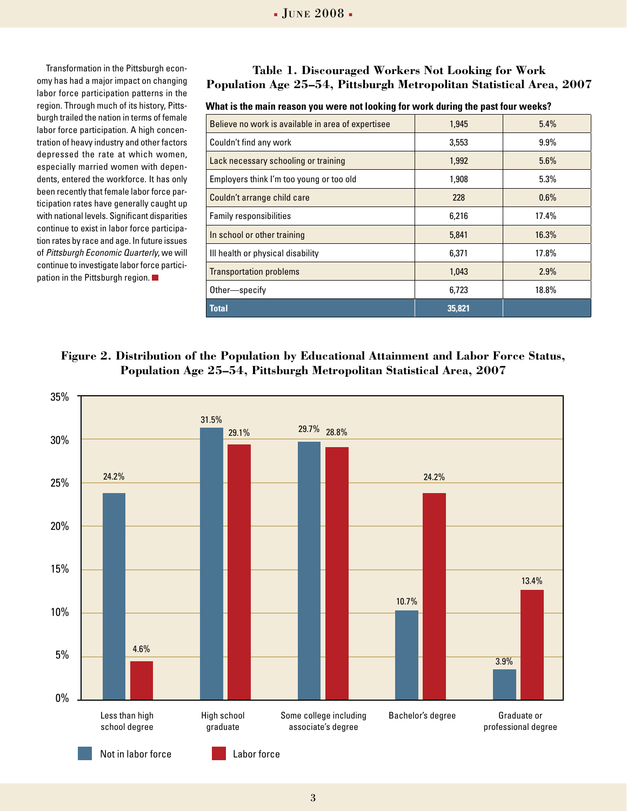Transformation in the Pittsburgh economy has had a major impact on changing labor force participation patterns in the region. Through much of its history, Pittsburgh trailed the nation in terms of female labor force participation. A high concentration of heavy industry and other factors depressed the rate at which women, especially married women with dependents, entered the workforce. It has only been recently that female labor force participation rates have generally caught up with national levels. Significant disparities continue to exist in labor force participation rates by race and age. In future issues of *Pittsburgh Economic Quarterly*, we will continue to investigate labor force participation in the Pittsburgh region.

### **Table 1. Discouraged Workers Not Looking for Work Population Age 25–54, Pittsburgh Metropolitan Statistical Area, 2007**

#### **What is the main reason you were not looking for work during the past four weeks?**

| Believe no work is available in area of expertisee | 1.945  | 5.4%    |
|----------------------------------------------------|--------|---------|
| Couldn't find any work                             | 3,553  | $9.9\%$ |
| Lack necessary schooling or training               | 1,992  | 5.6%    |
| Employers think I'm too young or too old           | 1,908  | 5.3%    |
| Couldn't arrange child care                        | 228    | $0.6\%$ |
| Family responsibilities                            | 6,216  | 17.4%   |
| In school or other training                        | 5.841  | 16.3%   |
| Ill health or physical disability                  | 6.371  | 17.8%   |
| <b>Transportation problems</b>                     | 1.043  | 2.9%    |
| Other-specify                                      | 6,723  | 18.8%   |
| <b>Total</b>                                       | 35,821 |         |

### **Figure 2. Distribution of the Population by Educational Attainment and Labor Force Status, Population Age 25–54, Pittsburgh Metropolitan Statistical Area, 2007**

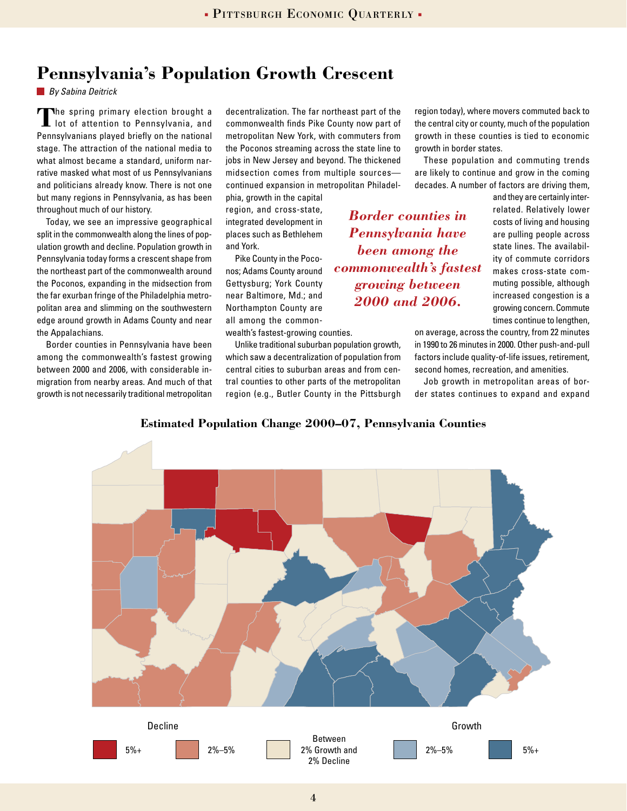## **Pennsylvania's Population Growth Crescent**

*By Sabina Deitrick*

**The spring primary election brought a** lot of attention to Pennsylvania, and Pennsylvanians played briefly on the national stage. The attraction of the national media to what almost became a standard, uniform narrative masked what most of us Pennsylvanians and politicians already know. There is not one but many regions in Pennsylvania, as has been throughout much of our history.

Today, we see an impressive geographical split in the commonwealth along the lines of population growth and decline. Population growth in Pennsylvania today forms a crescent shape from the northeast part of the commonwealth around the Poconos, expanding in the midsection from the far exurban fringe of the Philadelphia metropolitan area and slimming on the southwestern edge around growth in Adams County and near the Appalachians.

Border counties in Pennsylvania have been among the commonwealth's fastest growing between 2000 and 2006, with considerable inmigration from nearby areas. And much of that growth is not necessarily traditional metropolitan decentralization. The far northeast part of the commonwealth finds Pike County now part of metropolitan New York, with commuters from the Poconos streaming across the state line to jobs in New Jersey and beyond. The thickened midsection comes from multiple sources continued expansion in metropolitan Philadel-

phia, growth in the capital region, and cross-state, integrated development in places such as Bethlehem and York.

Pike County in the Poconos; Adams County around Gettysburg; York County near Baltimore, Md.; and Northampton County are all among the common-

wealth's fastest-growing counties.

Unlike traditional suburban population growth, which saw a decentralization of population from central cities to suburban areas and from central counties to other parts of the metropolitan region (e.g., Butler County in the Pittsburgh region today), where movers commuted back to the central city or county, much of the population growth in these counties is tied to economic growth in border states.

These population and commuting trends are likely to continue and grow in the coming decades. A number of factors are driving them,

*Border counties in Pennsylvania have been among the commonwealth's fastest growing between 2000 and 2006.*

and they are certainly interrelated. Relatively lower costs of living and housing are pulling people across state lines. The availability of commute corridors makes cross-state commuting possible, although increased congestion is a growing concern. Commute times continue to lengthen,

on average, across the country, from 22 minutes in 1990 to 26 minutes in 2000. Other push-and-pull factors include quality-of-life issues, retirement, second homes, recreation, and amenities.

Job growth in metropolitan areas of border states continues to expand and expand



**Estimated Population Change 2000–07, Pennsylvania Counties**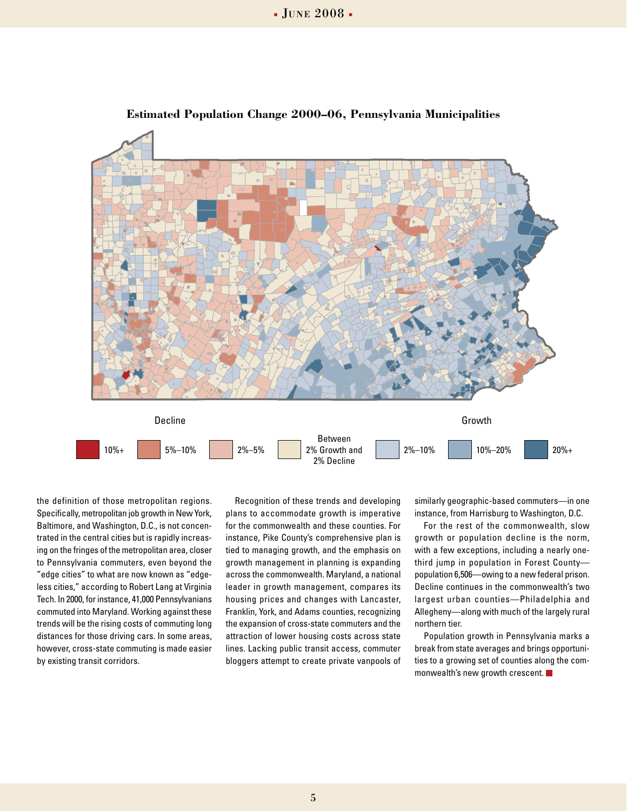

#### **Estimated Population Change 2000–06, Pennsylvania Municipalities**

the definition of those metropolitan regions. Specifically, metropolitan job growth in New York, Baltimore, and Washington, D.C., is not concentrated in the central cities but is rapidly increasing on the fringes of the metropolitan area, closer to Pennsylvania commuters, even beyond the "edge cities" to what are now known as "edgeless cities," according to Robert Lang at Virginia Tech. In 2000, for instance, 41,000 Pennsylvanians commuted into Maryland. Working against these trends will be the rising costs of commuting long distances for those driving cars. In some areas, however, cross-state commuting is made easier by existing transit corridors.

Recognition of these trends and developing plans to accommodate growth is imperative for the commonwealth and these counties. For instance, Pike County's comprehensive plan is tied to managing growth, and the emphasis on growth management in planning is expanding across the commonwealth. Maryland, a national leader in growth management, compares its housing prices and changes with Lancaster, Franklin, York, and Adams counties, recognizing the expansion of cross-state commuters and the attraction of lower housing costs across state lines. Lacking public transit access, commuter bloggers attempt to create private vanpools of

similarly geographic-based commuters—in one instance, from Harrisburg to Washington, D.C.

For the rest of the commonwealth, slow growth or population decline is the norm, with a few exceptions, including a nearly onethird jump in population in Forest County population 6,506—owing to a new federal prison. Decline continues in the commonwealth's two largest urban counties—Philadelphia and Allegheny—along with much of the largely rural northern tier.

Population growth in Pennsylvania marks a break from state averages and brings opportunities to a growing set of counties along the commonwealth's new growth crescent.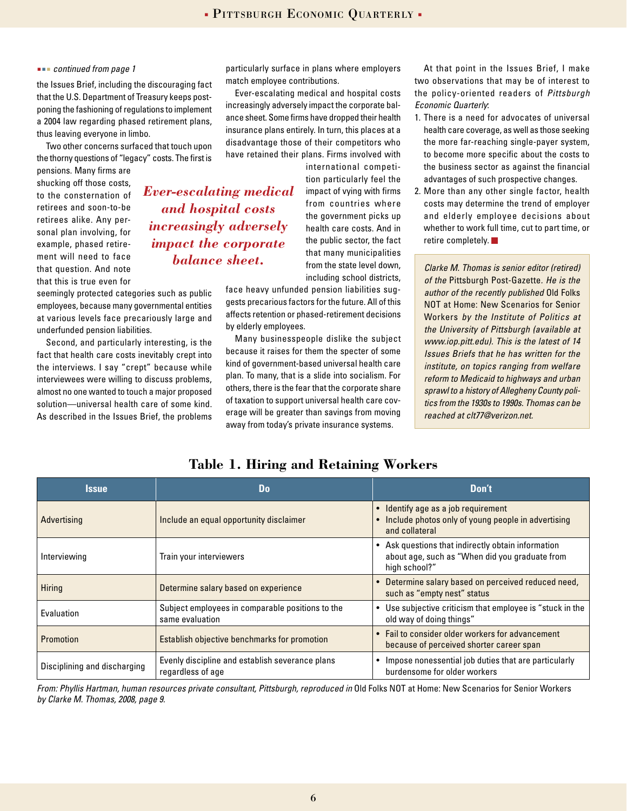#### *continued from page 1*

the Issues Brief, including the discouraging fact that the U.S. Department of Treasury keeps postponing the fashioning of regulations to implement a 2004 law regarding phased retirement plans, thus leaving everyone in limbo.

Two other concerns surfaced that touch upon the thorny questions of "legacy" costs. The first is

pensions. Many firms are shucking off those costs, to the consternation of retirees and soon-to-be retirees alike. Any personal plan involving, for example, phased retirement will need to face that question. And note that this is true even for

seemingly protected categories such as public employees, because many governmental entities at various levels face precariously large and underfunded pension liabilities.

Second, and particularly interesting, is the fact that health care costs inevitably crept into the interviews. I say "crept" because while interviewees were willing to discuss problems, almost no one wanted to touch a major proposed solution—universal health care of some kind. As described in the Issues Brief, the problems

particularly surface in plans where employers match employee contributions.

Ever-escalating medical and hospital costs increasingly adversely impact the corporate balance sheet. Some firms have dropped their health insurance plans entirely. In turn, this places at a disadvantage those of their competitors who have retained their plans. Firms involved with

*Ever-escalating medical and hospital costs increasingly adversely impact the corporate balance sheet.*

international competition particularly feel the impact of vying with firms from countries where the government picks up health care costs. And in the public sector, the fact that many municipalities from the state level down, including school districts,

face heavy unfunded pension liabilities suggests precarious factors for the future. All of this affects retention or phased-retirement decisions by elderly employees.

Many businesspeople dislike the subject because it raises for them the specter of some kind of government-based universal health care plan. To many, that is a slide into socialism. For others, there is the fear that the corporate share of taxation to support universal health care coverage will be greater than savings from moving away from today's private insurance systems.

At that point in the Issues Brief, I make two observations that may be of interest to the policy-oriented readers of *Pittsburgh Economic Quarterly*:

- 1. There is a need for advocates of universal health care coverage, as well as those seeking the more far-reaching single-payer system, to become more specific about the costs to the business sector as against the financial advantages of such prospective changes.
- 2. More than any other single factor, health costs may determine the trend of employer and elderly employee decisions about whether to work full time, cut to part time, or retire completely. ■

*Clarke M. Thomas is senior editor (retired) of the* Pittsburgh Post-Gazette*. He is the author of the recently published* Old Folks NOT at Home: New Scenarios for Senior Workers *by the Institute of Politics at the University of Pittsburgh (available at www.iop.pitt.edu). This is the latest of 14 Issues Briefs that he has written for the institute, on topics ranging from welfare reform to Medicaid to highways and urban sprawl to a history of Allegheny County politics from the 1930s to 1990s. Thomas can be reached at clt77@verizon.net.*

| <b>Issue</b>                 | Do                                                                   | Don't                                                                                                                 |
|------------------------------|----------------------------------------------------------------------|-----------------------------------------------------------------------------------------------------------------------|
| Advertising                  | Include an equal opportunity disclaimer                              | Identify age as a job requirement<br>Include photos only of young people in advertising<br>and collateral             |
| Interviewing                 | Train your interviewers                                              | • Ask questions that indirectly obtain information<br>about age, such as "When did you graduate from<br>high school?" |
| Hiring                       | Determine salary based on experience                                 | Determine salary based on perceived reduced need,<br>such as "empty nest" status                                      |
| <b>Fyaluation</b>            | Subject employees in comparable positions to the<br>same evaluation  | Use subjective criticism that employee is "stuck in the<br>old way of doing things"                                   |
| Promotion                    | Establish objective benchmarks for promotion                         | • Fail to consider older workers for advancement<br>because of perceived shorter career span                          |
| Disciplining and discharging | Evenly discipline and establish severance plans<br>regardless of age | Impose nonessential job duties that are particularly<br>burdensome for older workers                                  |

**Table 1. Hiring and Retaining Workers**

From: Phyllis Hartman, human resources private consultant, Pittsburgh, reproduced in Old Folks NOT at Home: New Scenarios for Senior Workers *by Clarke M. Thomas, 2008, page 9.*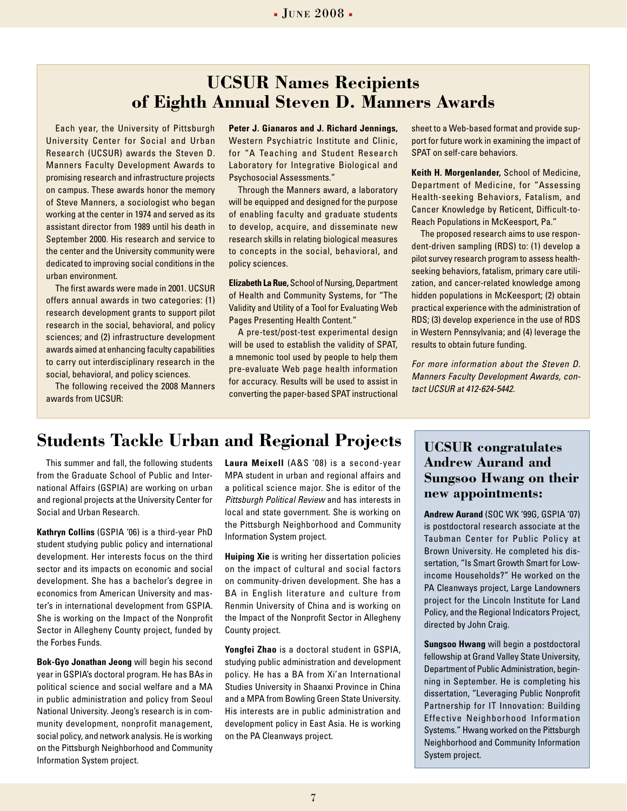## **UCSUR Names Recipients of Eighth Annual Steven D. Manners Awards**

Each year, the University of Pittsburgh University Center for Social and Urban Research (UCSUR) awards the Steven D. Manners Faculty Development Awards to promising research and infrastructure projects on campus. These awards honor the memory of Steve Manners, a sociologist who began working at the center in 1974 and served as its assistant director from 1989 until his death in September 2000. His research and service to the center and the University community were dedicated to improving social conditions in the urban environment.

The first awards were made in 2001. UCSUR offers annual awards in two categories: (1) research development grants to support pilot research in the social, behavioral, and policy sciences; and (2) infrastructure development awards aimed at enhancing faculty capabilities to carry out interdisciplinary research in the social, behavioral, and policy sciences.

The following received the 2008 Manners awards from UCSUR:

**Peter J. Gianaros and J. Richard Jennings,** Western Psychiatric Institute and Clinic, for "A Teaching and Student Research Laboratory for Integrative Biological and Psychosocial Assessments."

Through the Manners award, a laboratory will be equipped and designed for the purpose of enabling faculty and graduate students to develop, acquire, and disseminate new research skills in relating biological measures to concepts in the social, behavioral, and policy sciences.

**Elizabeth La Rue,** School of Nursing, Department of Health and Community Systems, for "The Validity and Utility of a Tool for Evaluating Web Pages Presenting Health Content."

A pre-test/post-test experimental design will be used to establish the validity of SPAT, a mnemonic tool used by people to help them pre-evaluate Web page health information for accuracy. Results will be used to assist in converting the paper-based SPAT instructional sheet to a Web-based format and provide support for future work in examining the impact of SPAT on self-care behaviors.

**Keith H. Morgenlander,** School of Medicine, Department of Medicine, for "Assessing Health-seeking Behaviors, Fatalism, and Cancer Knowledge by Reticent, Difficult-to-Reach Populations in McKeesport, Pa."

The proposed research aims to use respondent-driven sampling (RDS) to: (1) develop a pilot survey research program to assess healthseeking behaviors, fatalism, primary care utilization, and cancer-related knowledge among hidden populations in McKeesport; (2) obtain practical experience with the administration of RDS; (3) develop experience in the use of RDS in Western Pennsylvania; and (4) leverage the results to obtain future funding.

*For more information about the Steven D. Manners Faculty Development Awards, contact UCSUR at 412-624-5442.* 

## **Students Tackle Urban and Regional Projects** | UCSUR congratulates

This summer and fall, the following students from the Graduate School of Public and International Affairs (GSPIA) are working on urban and regional projects at the University Center for Social and Urban Research.

**Kathryn Collins** (GSPIA '06) is a third-year PhD student studying public policy and international development. Her interests focus on the third sector and its impacts on economic and social development. She has a bachelor's degree in economics from American University and master's in international development from GSPIA. She is working on the Impact of the Nonprofit Sector in Allegheny County project, funded by the Forbes Funds.

**Bok-Gyo Jonathan Jeong** will begin his second year in GSPIA's doctoral program. He has BAs in political science and social welfare and a MA in public administration and policy from Seoul National University. Jeong's research is in community development, nonprofit management, social policy, and network analysis. He is working on the Pittsburgh Neighborhood and Community Information System project.

**Laura Meixell** (A&S '08) is a second-year MPA student in urban and regional affairs and a political science major. She is editor of the *Pittsburgh Political Review* and has interests in local and state government. She is working on the Pittsburgh Neighborhood and Community Information System project.

**Huiping Xie** is writing her dissertation policies on the impact of cultural and social factors on community-driven development. She has a BA in English literature and culture from Renmin University of China and is working on the Impact of the Nonprofit Sector in Allegheny County project.

**Yongfei Zhao** is a doctoral student in GSPIA, studying public administration and development policy. He has a BA from Xi'an International Studies University in Shaanxi Province in China and a MPA from Bowling Green State University. His interests are in public administration and development policy in East Asia. He is working on the PA Cleanways project.

## **Andrew Aurand and Sungsoo Hwang on their new appointments:**

**Andrew Aurand** (SOC WK '99G, GSPIA '07) is postdoctoral research associate at the Taubman Center for Public Policy at Brown University. He completed his dissertation, "Is Smart Growth Smart for Lowincome Households?" He worked on the PA Cleanways project, Large Landowners project for the Lincoln Institute for Land Policy, and the Regional Indicators Project, directed by John Craig.

**Sungsoo Hwang** will begin a postdoctoral fellowship at Grand Valley State University, Department of Public Administration, beginning in September. He is completing his dissertation, "Leveraging Public Nonprofit Partnership for IT Innovation: Building Effective Neighborhood Information Systems." Hwang worked on the Pittsburgh Neighborhood and Community Information System project.